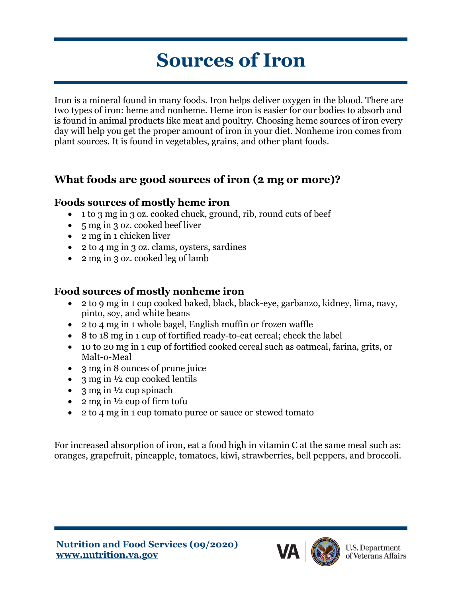# **Sources of Iron**

Iron is a mineral found in many foods. Iron helps deliver oxygen in the blood. There are two types of iron: heme and nonheme. Heme iron is easier for our bodies to absorb and is found in animal products like meat and poultry. Choosing heme sources of iron every day will help you get the proper amount of iron in your diet. Nonheme iron comes from plant sources. It is found in vegetables, grains, and other plant foods.

## **What foods are good sources of iron (2 mg or more)?**

#### **Foods sources of mostly heme iron**

- 1 to 3 mg in 3 oz. cooked chuck, ground, rib, round cuts of beef
- 5 mg in 3 oz. cooked beef liver
- 2 mg in 1 chicken liver
- 2 to 4 mg in 3 oz. clams, oysters, sardines
- 2 mg in 3 oz. cooked leg of lamb

## **Food sources of mostly nonheme iron**

- 2 to 9 mg in 1 cup cooked baked, black, black-eye, garbanzo, kidney, lima, navy, pinto, soy, and white beans
- 2 to 4 mg in 1 whole bagel, English muffin or frozen waffle
- 8 to 18 mg in 1 cup of fortified ready-to-eat cereal; check the label
- 10 to 20 mg in 1 cup of fortified cooked cereal such as oatmeal, farina, grits, or Malt-o-Meal
- 3 mg in 8 ounces of prune juice
- 3 mg in  $\frac{1}{2}$  cup cooked lentils
- 3 mg in  $\frac{1}{2}$  cup spinach
- 2 mg in  $\frac{1}{2}$  cup of firm tofu
- 2 to 4 mg in 1 cup tomato puree or sauce or stewed tomato

For increased absorption of iron, eat a food high in vitamin C at the same meal such as: oranges, grapefruit, pineapple, tomatoes, kiwi, strawberries, bell peppers, and broccoli.

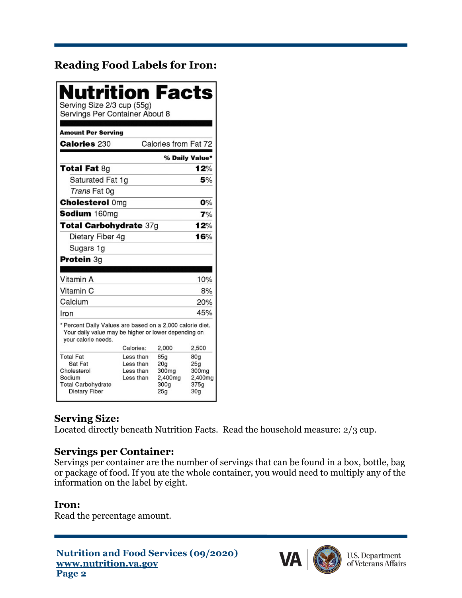## **Reading Food Labels for Iron:**

| Nutrition Facts<br>Serving Size 2/3 cup (55g)<br>Servings Per Container About 8                                                          |                                                  |                                                           |                                                                       |  |
|------------------------------------------------------------------------------------------------------------------------------------------|--------------------------------------------------|-----------------------------------------------------------|-----------------------------------------------------------------------|--|
| <b>Amount Per Serving</b>                                                                                                                |                                                  |                                                           |                                                                       |  |
| <b>Calories 230</b>                                                                                                                      |                                                  | Calories from Fat 72                                      |                                                                       |  |
|                                                                                                                                          |                                                  |                                                           | % Daily Value*                                                        |  |
| <b>Total Fat 8g</b>                                                                                                                      |                                                  |                                                           | 12%                                                                   |  |
| Saturated Fat 1g                                                                                                                         |                                                  | 5%                                                        |                                                                       |  |
| Trans Fat 0g                                                                                                                             |                                                  |                                                           |                                                                       |  |
| <b>Cholesterol Omg</b>                                                                                                                   |                                                  |                                                           | 0%                                                                    |  |
| Sodium 160mg                                                                                                                             |                                                  |                                                           | 7%                                                                    |  |
| Total Carbohydrate 37g                                                                                                                   |                                                  |                                                           | 12%                                                                   |  |
| Dietary Fiber 4g                                                                                                                         |                                                  |                                                           | 16%                                                                   |  |
| Sugars 1g                                                                                                                                |                                                  |                                                           |                                                                       |  |
| Protein 3g                                                                                                                               |                                                  |                                                           |                                                                       |  |
|                                                                                                                                          |                                                  |                                                           |                                                                       |  |
| Vitamin A                                                                                                                                |                                                  |                                                           | 10%                                                                   |  |
| Vitamin C                                                                                                                                |                                                  |                                                           | 8%                                                                    |  |
| Calcium                                                                                                                                  |                                                  |                                                           | 20%                                                                   |  |
| Iron                                                                                                                                     |                                                  |                                                           | 45%                                                                   |  |
| * Percent Daily Values are based on a 2,000 calorie diet.<br>Your daily value may be higher or lower depending on<br>vour calorie needs. |                                                  |                                                           |                                                                       |  |
|                                                                                                                                          | Calories:                                        | 2.000                                                     | 2,500                                                                 |  |
| <b>Total Fat</b><br>Sat Fat<br>Cholesterol<br>Sodium<br><b>Total Carbohydrate</b><br><b>Dietary Fiber</b>                                | Less than<br>Less than<br>Less than<br>Less than | 65a<br>20a<br>300mg<br>2,400mg<br>300a<br>25 <sub>q</sub> | 80g<br>25 <sub>g</sub><br>300mg<br>2,400mg<br>375a<br>30 <sub>q</sub> |  |

#### **Serving Size:**

Located directly beneath Nutrition Facts. Read the household measure: 2/3 cup.

#### **Servings per Container:**

Servings per container are the number of servings that can be found in a box, bottle, bag or package of food. If you ate the whole container, you would need to multiply any of the information on the label by eight.

#### **Iron:**

Read the percentage amount.